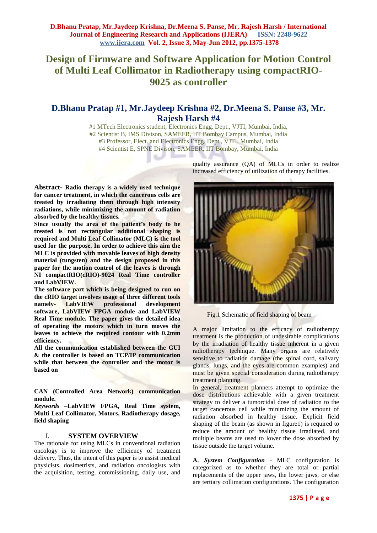# **Design of Firmware and Software Application for Motion Control of Multi Leaf Collimator in Radiotherapy using compactRIO-9025 as controller**

## **D.Bhanu Pratap #1, Mr.Jaydeep Krishna #2, Dr.Meena S. Panse #3, Mr. Rajesh Harsh #4**

#1 MTech Electronics student, Electronics Engg. Dept., VJTI, Mumbai, India, #2 Scientist B, IMS Divison, SAMEER, IIT Bombay Campus, Mumbai, India #3 Professor, Elect. and Electronics Engg. Dept., VJTI, Mumbai, India #4 Scientist E, SPNE Divison, SAMEER, IIT Bombay, Mumbai, India vi.

**Abstract- Radio therapy is a widely used technique for cancer treatment, in which the cancerous cells are treated by irradiating them through high intensity radiations, while minimizing the amount of radiation absorbed by the healthy tissues.**

**Since usually the area of the patient's body to be treated is not rectangular additional shaping is required and Multi Leaf Collimator (MLC) is the tool used for the purpose. In order to achieve this aim the MLC is provided with movable leaves of high density material (tungsten) and the design proposed in this paper for the motion control of the leaves is through NI compactRIO(cRIO)-9024 Real Time controller and LabVIEW.**

**The software part which is being designed to run on the cRIO target involves usage of three different tools namely- LabVIEW professional development software, LabVIEW FPGA module and LabVIEW Real Time module. The paper gives the detailed idea of operating the motors which in turn moves the leaves to achieve the required contour with 0.2mm efficiency.**

**All the communication established between the GUI & the controller is based on TCP/IP communication while that between the controller and the motor is based on** 

**CAN (Controlled Area Network) communication module.**

*Keywords* **–LabVIEW FPGA, Real Time system, Multi Leaf Collimator, Motors, Radiotherapy dosage, field shaping**

### I. **SYSTEM OVERVIEW**

The rationale for using MLCs in conventional radiation oncology is to improve the efficiency of treatment delivery. Thus, the intent of this paper is to assist medical physicists, dosimetrists, and radiation oncologists with the acquisition, testing, commissioning, daily use, and

quality assurance (QA) of MLCs in order to realize increased efficiency of utilization of therapy facilities.



Fig.1 Schematic of field shaping of beam

A major limitation to the efficacy of radiotherapy treatment is the production of undesirable complications by the irradiation of healthy tissue inherent in a given radiotherapy technique. Many organs are relatively sensitive to radiation damage (the spinal cord, salivary glands, lungs, and the eyes are common examples) and must be given special consideration during radiotherapy treatment planning.

In general, treatment planners attempt to optimize the dose distributions achievable with a given treatment strategy to deliver a tumorcidal dose of radiation to the target cancerous cell while minimizing the amount of radiation absorbed in healthy tissue. Explicit field shaping of the beam (as shown in figure1) is required to reduce the amount of healthy tissue irradiated, and multiple beams are used to lower the dose absorbed by tissue outside the target volume.

**A.** *System Configuration -* MLC configuration is categorized as to whether they are total or partial replacements of the upper jaws, the lower jaws, or else are tertiary collimation configurations. The configuration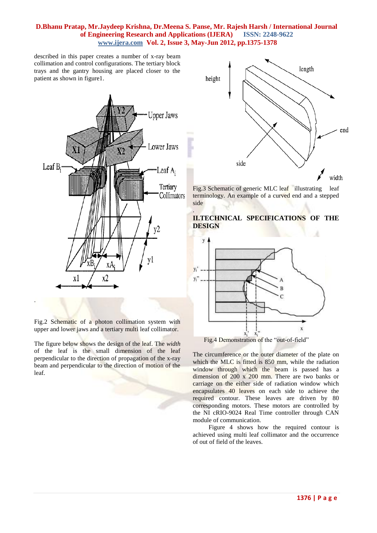### **D.Bhanu Pratap, Mr.Jaydeep Krishna, Dr.Meena S. Panse, Mr. Rajesh Harsh / International Journal of Engineering Research and Applications (IJERA) ISSN: 2248-9622 www.ijera.com Vol. 2, Issue 3, May-Jun 2012, pp.1375-1378**

described in this paper creates a number of x-ray beam collimation and control configurations. The tertiary block trays and the gantry housing are placed closer to the patient as shown in figure1.



Fig.2 Schematic of a photon collimation system with upper and lower jaws and a tertiary multi leaf collimator.

The figure below shows the design of the leaf. The *width*  of the leaf is the small dimension of the leaf perpendicular to the direction of propagation of the x-ray beam and perpendicular to the direction of motion of the leaf.



Fig.3 Schematic of generic MLC leaf illustrating leaf terminology. An example of a curved end and a stepped side





Fig.4 Demonstration of the "out-of-field"

The circumference or the outer diameter of the plate on which the MLC is fitted is 850 mm, while the radiation window through which the beam is passed has a dimension of 200 x 200 mm. There are two banks or carriage on the either side of radiation window which encapsulates 40 leaves on each side to achieve the required contour. These leaves are driven by 80 corresponding motors. These motors are controlled by the NI cRIO-9024 Real Time controller through CAN module of communication.

 Figure 4 shows how the required contour is achieved using multi leaf collimator and the occurrence of out of field of the leaves.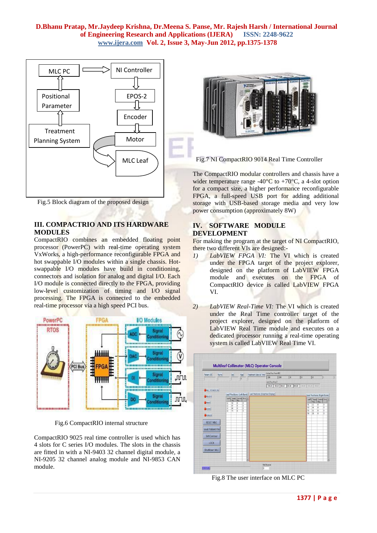### **D.Bhanu Pratap, Mr.Jaydeep Krishna, Dr.Meena S. Panse, Mr. Rajesh Harsh / International Journal of Engineering Research and Applications (IJERA) ISSN: 2248-9622 www.ijera.com Vol. 2, Issue 3, May-Jun 2012, pp.1375-1378**



Fig.5 Block diagram of the proposed design

### **III. COMPACTRIO AND ITS HARDWARE MODULES**

CompactRIO combines an embedded floating point processor (PowerPC) with real-time operating system VxWorks, a high-performance reconfigurable FPGA and hot swappable I/O modules within a single chassis. Hotswappable I/O modules have build in conditioning, connectors and isolation for analog and digital I/O. Each I/O module is connected directly to the FPGA, providing low-level customization of timing and I/O signal processing. The FPGA is connected to the embedded real-time processor via a high speed PCI bus.



Fig.6 CompactRIO internal structure

CompactRIO 9025 real time controller is used which has 4 slots for C series I/O modules. The slots in the chassis are fitted in with a NI-9403 32 channel digital module, a NI-9205 32 channel analog module and NI-9853 CAN module.



Fig.7 NI CompactRIO 9014 Real Time Controller

The CompactRIO modular controllers and chassis have a wider temperature range -40 $^{\circ}$ C to +70 $^{\circ}$ C, a 4-slot option for a compact size, a higher performance reconfigurable FPGA, a full-speed USB port for adding additional storage with USB-based storage media and very low power consumption (approximately 8W)

### **IV. SOFTWARE MODULE DEVELOPMENT**

For making the program at the target of NI CompactRIO, there two different VIs are designed:-

- *1) LabVIEW FPGA VI:* The VI which is created under the FPGA target of the project explorer, designed on the platform of LabVIEW FPGA module and executes on the FPGA of CompactRIO device is called LabVIEW FPGA VI.
- *2) LabVIEW Real-Time VI:* The VI which is created under the Real Time controller target of the project explorer, designed on the platform of LabVIEW Real Time module and executes on a dedicated processor running a real-time operating system is called LabVIEW Real Time VI.



Fig.8 The user interface on MLC PC